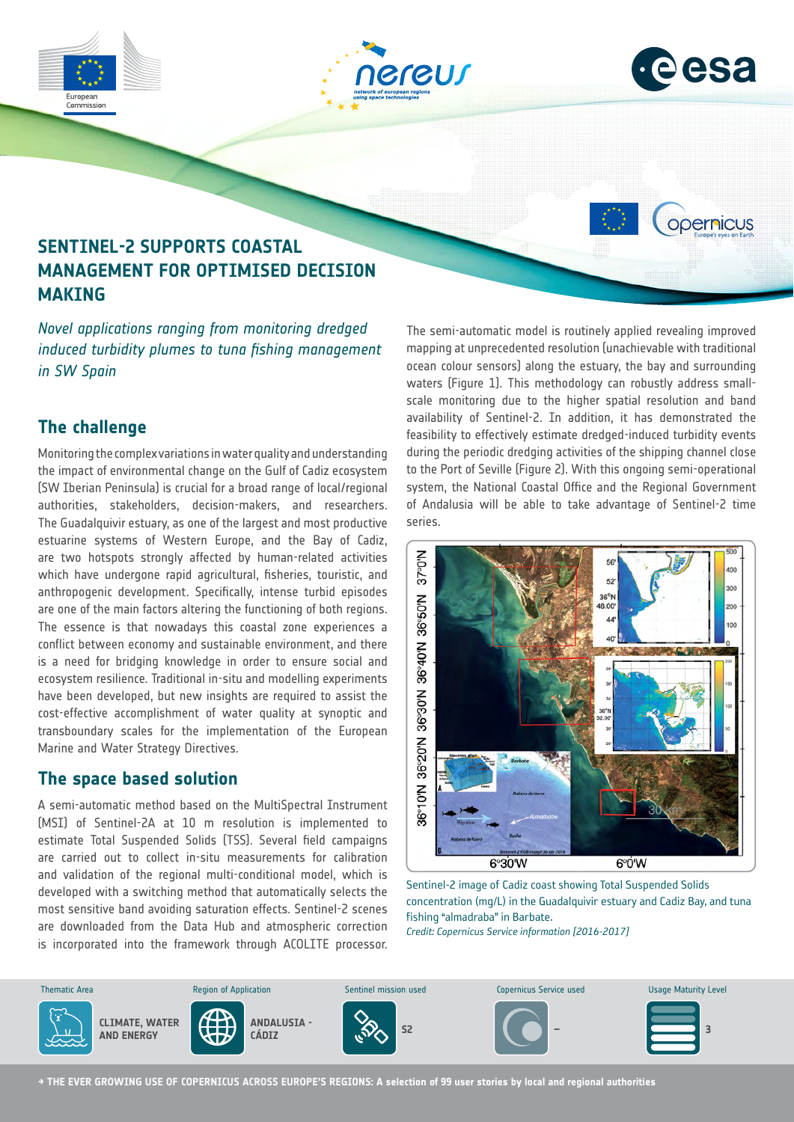

# **The challenge**

Monitoring the complex variations in water quality and understanding the impact of environmental change on the Gulf of Cadiz ecosystem (SW Iberian Peninsula) is crucial for a broad range of local/regional authorities, stakeholders, decision-makers, and researchers. The Guadalquivir estuary, as one of the largest and most productive estuarine systems of Western Europe, and the Bay of Cadiz, are two hotspots strongly affected by human-related activities which have undergone rapid agricultural, fisheries, touristic, and anthropogenic development. Specifically, intense turbid episodes are one of the main factors altering the functioning of both regions. The essence is that nowadays this coastal zone experiences a conflict between economy and sustainable environment, and there is a need for bridging knowledge in order to ensure social and ecosystem resilience. Traditional in-situ and modelling experiments have been developed, but new insights are required to assist the cost-effective accomplishment of water quality at synoptic and transboundary scales for the implementation of the European Marine and Water Strategy Directives.

### **The space based solution**

A semi-automatic method based on the MultiSpectral Instrument (MSI) of Sentinel-2A at 10 m resolution is implemented to estimate Total Suspended Solids (TSS). Several field campaigns are carried out to collect in-situ measurements for calibration and validation of the regional multi-conditional model, which is developed with a switching method that automatically selects the most sensitive band avoiding saturation effects. Sentinel-2 scenes are downloaded from the Data Hub and atmospheric correction is incorporated into the framework through ACOLITE processor. scale monitoring due to the higher spatial resolution and band availability of Sentinel-2. In addition, it has demonstrated the feasibility to effectively estimate dredged-induced turbidity events during the periodic dredging activities of the shipping channel close to the Port of Seville (Figure 2). With this ongoing semi-operational system, the National Coastal Office and the Regional Government of Andalusia will be able to take advantage of Sentinel-2 time series.



Sentinel-2 image of Cadiz coast showing Total Suspended Solids concentration (mg/L) in the Guadalquivir estuary and Cadiz Bay, and tuna fishing "almadraba" in Barbate. *Credit: Copernicus Service information [2016-2017]*

**ANDALUSIA - CÁDIZ S2 – <sup>3</sup>** Thematic Area **Sentinel Maturity Level** Copernicus Sentinel mission used Copernicus Service used Usage Maturity Level **CLIMATE, WATER AND ENERGY**

**→ THE EVER GROWING USE OF COPERNICUS ACROSS EUROPE'S REGIONS: A selection of 99 user stories by local and regional authorities**